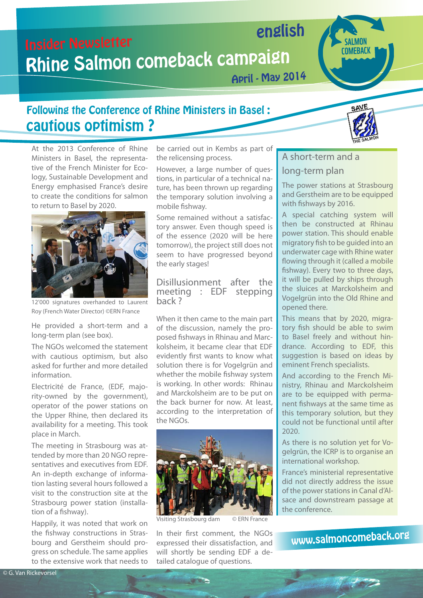# Insider Newsletter Rhine Salmon comeback campaign english

April - May 2014

# Following the Conference of Rhine Ministers in Basel : cautious optimism ?



**COMEBACK** 

At the 2013 Conference of Rhine Ministers in Basel, the representative of the French Minister for Ecology, Sustainable Development and Energy emphasised France's desire to create the conditions for salmon to return to Basel by 2020.



12'000 signatures overhanded to Laurent Roy (French Water Director) ©ERN France

He provided a short-term and a long-term plan (see box).

The NGOs welcomed the statement with cautious optimism, but also asked for further and more detailed information.

Electricité de France, (EDF, majority-owned by the government), operator of the power stations on the Upper Rhine, then declared its availability for a meeting. This took place in March.

The meeting in Strasbourg was attended by more than 20 NGO representatives and executives from EDF. An in-depth exchange of information lasting several hours followed a visit to the construction site at the Strasbourg power station (installation of a fishway).

Happily, it was noted that work on the fishway constructions in Strasbourg and Gerstheim should progress on schedule. The same applies to the extensive work that needs to be carried out in Kembs as part of the relicensing process.

However, a large number of questions, in particular of a technical nature, has been thrown up regarding the temporary solution involving a mobile fishway.

Some remained without a satisfactory answer. Even though speed is of the essence (2020 will be here tomorrow), the project still does not seem to have progressed beyond the early stages!

#### Disillusionment after the meeting : EDF stepping back ?

When it then came to the main part of the discussion, namely the proposed fishways in Rhinau and Marckolsheim, it became clear that EDF evidently first wants to know what solution there is for Vogelgrün and whether the mobile fishway system is working. In other words: Rhinau and Marckolsheim are to be put on the back burner for now. At least, according to the interpretation of the NGOs.



Visiting Strasbourg dam © ERN France

In their first comment, the NGOs expressed their dissatisfaction, and will shortly be sending EDF a detailed catalogue of questions.

#### A short-term and a

### long-term plan

The power stations at Strasbourg and Gerstheim are to be equipped with fishways by 2016.

A special catching system will then be constructed at Rhinau power station. This should enable migratory fish to be guided into an underwater cage with Rhine water flowing through it (called a mobile fishway). Every two to three days, it will be pulled by ships through the sluices at Marckolsheim and Vogelgrün into the Old Rhine and opened there.

This means that by 2020, migratory fish should be able to swim to Basel freely and without hindrance. According to EDF, this suggestion is based on ideas by eminent French specialists.

And according to the French Ministry, Rhinau and Marckolsheim are to be equipped with permanent fishways at the same time as this temporary solution, but they could not be functional until after 2020.

As there is no solution yet for Vogelgrün, the ICRP is to organise an international workshop.

France's ministerial representative did not directly address the issue of the power stations in Canal d'Alsace and downstream passage at the conference.

www[.salmoncome](http://www.salmoncomeback.org/)back.org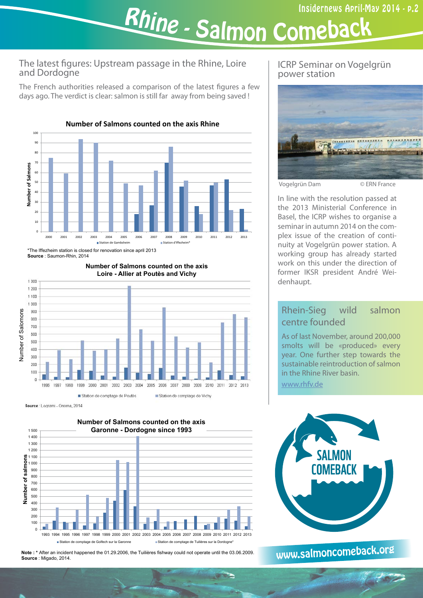<sup>R</sup>hin<sup>e</sup> -<u>- Salmon Comeback</u>

#### The latest figures: Upstream passage in the Rhine, Loire and Dordogne

The French authorities released a comparison of the latest figures a few days ago. The verdict is clear: salmon is still far away from being saved !



\*The Iffezheim station is closed for renovation since april 2013 **Source** : Saumon-Rhin, 2014

Number of Salomons

Number of Salomons

 $1,300$  $1.200$  $1.100$ 1000 son



# **Number of Salmons counted on the axis**



**Note : \*** After an incident happened the 01.29.2006, the Tuilières fishway could not operate until the 03.06.2009. **Source** : Migado, 2014.

### ICRP Seminar on Vogelgrün power station



Vogelgrün Dam © ERN France

In line with the resolution passed at the 2013 Ministerial Conference in Basel, the ICRP wishes to organise a seminar in autumn 2014 on the complex issue of the creation of continuity at Vogelgrün power station. A working group has already started work on this under the direction of former IKSR president André Weidenhaupt.

## Rhein-Sieg wild salmon centre founded

As of last November, around 200,000 smolts will be «produced» every year. One further step towards the sustainable reintroduction of salmon in the Rhine River basin.

[www.rhfv.de](http://www.rhfv.de)



www[.salmoncome](http://www.salmoncomeback.org/)back.org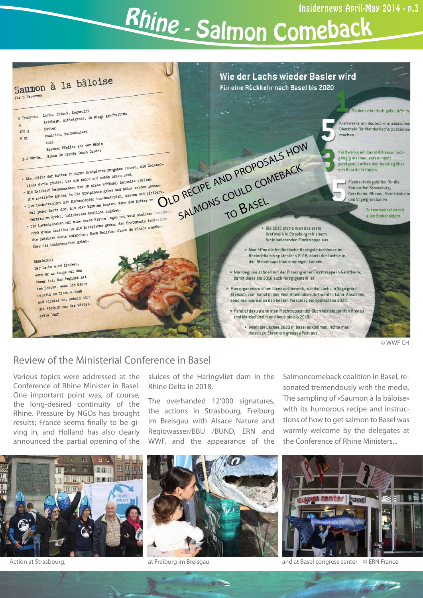# <sup>R</sup>hin<sup>e</sup> -<u>- Salmon Comeback</u>



#### Review of the Ministerial Conference in Basel

Various topics were addressed at the Conference of Rhine Minister in Basel. One important point was, of course, the long-desired continuity of the Rhine. Pressure by NGOs has brought results; France seems finally to be giving in, and Holland has also clearly announced the partial opening of the



Action at Strasbourg, and at Freiburg im Breisgau



The overhanded 12'000 signatures, the actions in Strasbourg, Freiburg im Breisgau with Alsace Nature and Regiowasser/BBU /BUND, ERN and WWF, and the appearance of the

**ALCOHOL:** 

Salmoncomeback coalition in Basel, resonated tremendously with the media. The sampling of «Saumon à la bâloise» with its humorous recipe and instructions of how to get salmon to Basel was warmly welcome by the delegates at the Conference of Rhine Ministers...



and at Basel congress center © ERN France

1072